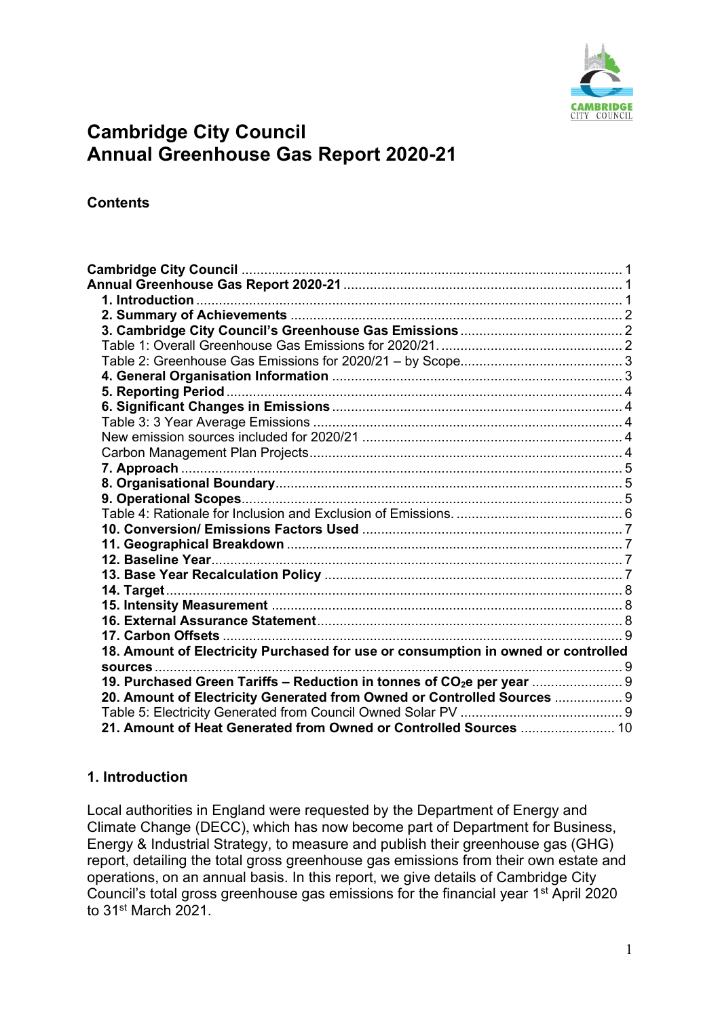

# <span id="page-0-1"></span><span id="page-0-0"></span>**Cambridge City Council Annual Greenhouse Gas Report 2020-21**

**Contents**

| 17. Carbon Offsets                                                                 |  |
|------------------------------------------------------------------------------------|--|
| 18. Amount of Electricity Purchased for use or consumption in owned or controlled  |  |
|                                                                                    |  |
| 19. Purchased Green Tariffs - Reduction in tonnes of CO <sub>2</sub> e per year  9 |  |
| 20. Amount of Electricity Generated from Owned or Controlled Sources  9            |  |
|                                                                                    |  |
| 21. Amount of Heat Generated from Owned or Controlled Sources  10                  |  |

## <span id="page-0-2"></span>**1. Introduction**

Local authorities in England were requested by the Department of Energy and Climate Change (DECC), which has now become part of Department for Business, Energy & Industrial Strategy, to measure and publish their greenhouse gas (GHG) report, detailing the total gross greenhouse gas emissions from their own estate and operations, on an annual basis. In this report, we give details of Cambridge City Council's total gross greenhouse gas emissions for the financial year 1st April 2020 to 31st March 2021.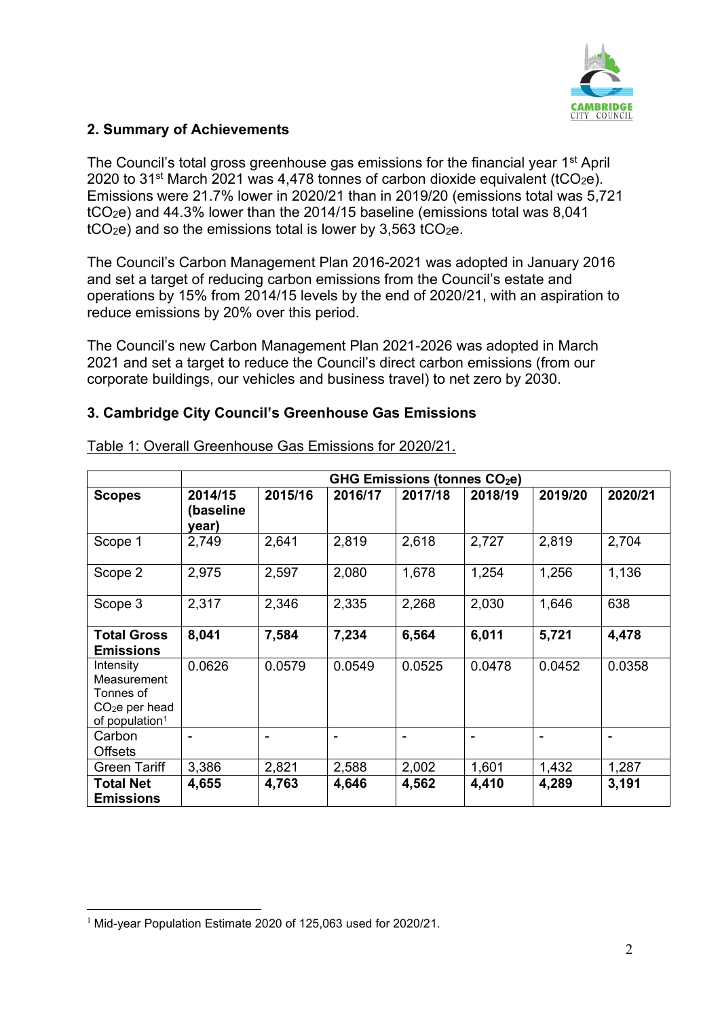

## <span id="page-1-0"></span>**2. Summary of Achievements**

The Council's total gross greenhouse gas emissions for the financial year  $1<sup>st</sup>$  April 2020 to 31<sup>st</sup> March 2021 was 4,478 tonnes of carbon dioxide equivalent (tCO<sub>2</sub>e). Emissions were 21.7% lower in 2020/21 than in 2019/20 (emissions total was 5,721 tCO2e) and 44.3% lower than the 2014/15 baseline (emissions total was 8,041  $tCO<sub>2</sub>e$ ) and so the emissions total is lower by 3,563  $tCO<sub>2</sub>e$ .

The Council's Carbon Management Plan 2016-2021 was adopted in January 2016 and set a target of reducing carbon emissions from the Council's estate and operations by 15% from 2014/15 levels by the end of 2020/21, with an aspiration to reduce emissions by 20% over this period.

The Council's new Carbon Management Plan 2021-2026 was adopted in March 2021 and set a target to reduce the Council's direct carbon emissions (from our corporate buildings, our vehicles and business travel) to net zero by 2030.

## <span id="page-1-1"></span>**3. Cambridge City Council's Greenhouse Gas Emissions**

|                                                                                        | GHG Emissions (tonnes $CO2e$ ) |         |         |                |         |         |         |
|----------------------------------------------------------------------------------------|--------------------------------|---------|---------|----------------|---------|---------|---------|
| <b>Scopes</b>                                                                          | 2014/15<br>(baseline<br>year)  | 2015/16 | 2016/17 | 2017/18        | 2018/19 | 2019/20 | 2020/21 |
| Scope 1                                                                                | 2,749                          | 2,641   | 2,819   | 2,618          | 2,727   | 2,819   | 2,704   |
| Scope 2                                                                                | 2,975                          | 2,597   | 2,080   | 1,678          | 1,254   | 1,256   | 1,136   |
| Scope 3                                                                                | 2,317                          | 2,346   | 2,335   | 2,268          | 2,030   | 1,646   | 638     |
| <b>Total Gross</b><br><b>Emissions</b>                                                 | 8,041                          | 7,584   | 7,234   | 6,564          | 6,011   | 5,721   | 4,478   |
| Intensity<br>Measurement<br>Tonnes of<br>$CO2e$ per head<br>of population <sup>1</sup> | 0.0626                         | 0.0579  | 0.0549  | 0.0525         | 0.0478  | 0.0452  | 0.0358  |
| Carbon<br><b>Offsets</b>                                                               |                                |         |         | $\blacksquare$ | -       |         |         |
| <b>Green Tariff</b>                                                                    | 3,386                          | 2,821   | 2,588   | 2,002          | 1,601   | 1,432   | 1,287   |
| <b>Total Net</b><br><b>Emissions</b>                                                   | 4,655                          | 4,763   | 4,646   | 4,562          | 4,410   | 4,289   | 3,191   |

<span id="page-1-2"></span>Table 1: Overall Greenhouse Gas Emissions for 2020/21.

<sup>&</sup>lt;sup>1</sup> Mid-year Population Estimate 2020 of 125,063 used for 2020/21.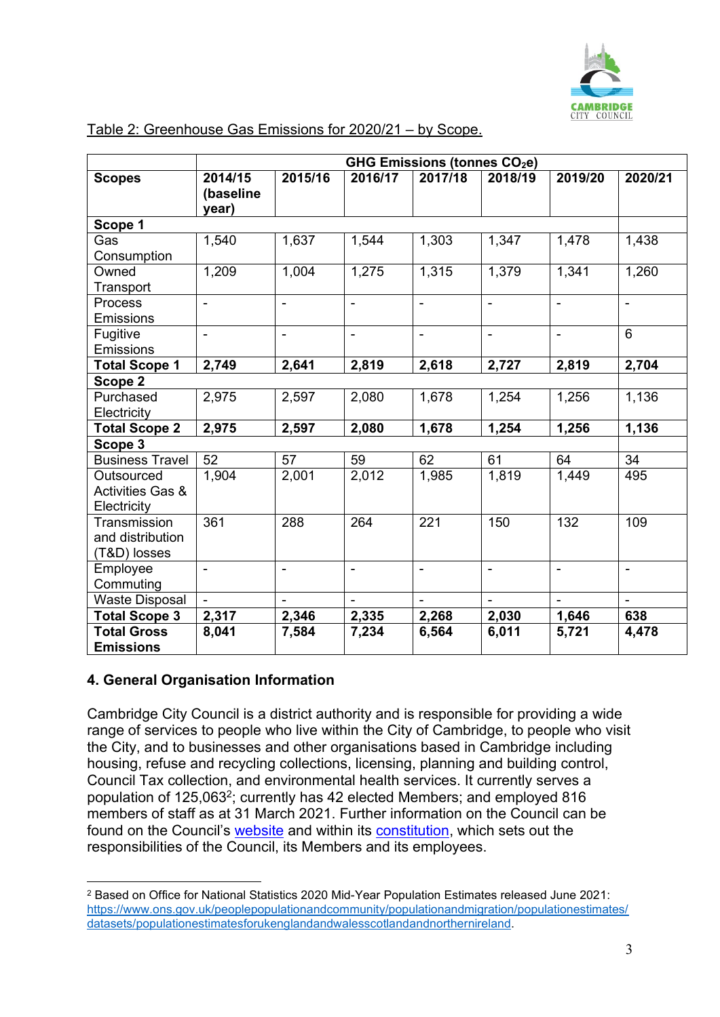

|                                                          | GHG Emissions (tonnes CO <sub>2</sub> e) |                |                          |                |                |                |                          |
|----------------------------------------------------------|------------------------------------------|----------------|--------------------------|----------------|----------------|----------------|--------------------------|
| <b>Scopes</b>                                            | 2014/15<br>(baseline<br>year)            | 2015/16        | 2016/17                  | 2017/18        | 2018/19        | 2019/20        | 2020/21                  |
| Scope 1                                                  |                                          |                |                          |                |                |                |                          |
| Gas<br>Consumption                                       | 1,540                                    | 1,637          | 1,544                    | 1,303          | 1,347          | 1,478          | 1,438                    |
| Owned<br>Transport                                       | 1,209                                    | 1,004          | 1,275                    | 1,315          | 1,379          | 1,341          | 1,260                    |
| Process<br><b>Emissions</b>                              | $\blacksquare$                           | $\overline{a}$ | Ξ.                       | $\blacksquare$ | $\frac{1}{2}$  | $\blacksquare$ | $\overline{a}$           |
| Fugitive<br>Emissions                                    | $\blacksquare$                           | $\blacksquare$ | $\overline{\phantom{a}}$ | $\blacksquare$ | $\blacksquare$ | $\blacksquare$ | 6                        |
| <b>Total Scope 1</b>                                     | 2,749                                    | 2,641          | 2,819                    | 2,618          | 2,727          | 2,819          | 2,704                    |
| Scope 2                                                  |                                          |                |                          |                |                |                |                          |
| Purchased<br>Electricity                                 | 2,975                                    | 2,597          | 2,080                    | 1,678          | 1,254          | 1,256          | 1,136                    |
| <b>Total Scope 2</b>                                     | 2,975                                    | 2,597          | 2,080                    | 1,678          | 1,254          | 1,256          | 1,136                    |
| Scope 3                                                  |                                          |                |                          |                |                |                |                          |
| <b>Business Travel</b>                                   | 52                                       | 57             | 59                       | 62             | 61             | 64             | 34                       |
| Outsourced<br><b>Activities Gas &amp;</b><br>Electricity | 1,904                                    | 2,001          | 2,012                    | 1,985          | 1,819          | 1,449          | 495                      |
| Transmission<br>and distribution<br>(T&D) losses         | 361                                      | 288            | 264                      | 221            | 150            | 132            | 109                      |
| Employee<br>Commuting                                    | $\blacksquare$                           | $\blacksquare$ | $\overline{\phantom{a}}$ | $\mathbf{r}$   | $\blacksquare$ | $\blacksquare$ | $\overline{\phantom{a}}$ |
| <b>Waste Disposal</b>                                    |                                          |                | $\overline{a}$           | $\mathbf{r}$   | $\overline{a}$ | $\mathbf{r}$   | $\overline{a}$           |
| <b>Total Scope 3</b>                                     | 2,317                                    | 2,346          | 2,335                    | 2,268          | 2,030          | 1,646          | 638                      |
| <b>Total Gross</b><br><b>Emissions</b>                   | 8,041                                    | 7,584          | 7,234                    | 6,564          | 6,011          | 5,721          | 4,478                    |

#### <span id="page-2-0"></span>Table 2: Greenhouse Gas Emissions for 2020/21 – by Scope.

## <span id="page-2-1"></span>**4. General Organisation Information**

Cambridge City Council is a district authority and is responsible for providing a wide range of services to people who live within the City of Cambridge, to people who visit the City, and to businesses and other organisations based in Cambridge including housing, refuse and recycling collections, licensing, planning and building control, Council Tax collection, and environmental health services. It currently serves a population of 125,063<sup>2</sup>; currently has 42 elected Members; and employed 816 members of staff as at 31 March 2021. Further information on the Council can be found on the Council's [website](http://www.cambridge.gov.uk/) and within its [constitution,](https://www.cambridge.gov.uk/constitution) which sets out the responsibilities of the Council, its Members and its employees.

<sup>2</sup> Based on Office for National Statistics 2020 Mid-Year Population Estimates released June 2021: [https://www.ons.gov.uk/peoplepopulationandcommunity/populationandmigration/populationestimates/](https://www.ons.gov.uk/peoplepopulationandcommunity/populationandmigration/populationestimates/datasets/populationestimatesforukenglandandwalesscotlandandnorthernireland) [datasets/populationestimatesforukenglandandwalesscotlandandnorthernireland.](https://www.ons.gov.uk/peoplepopulationandcommunity/populationandmigration/populationestimates/datasets/populationestimatesforukenglandandwalesscotlandandnorthernireland)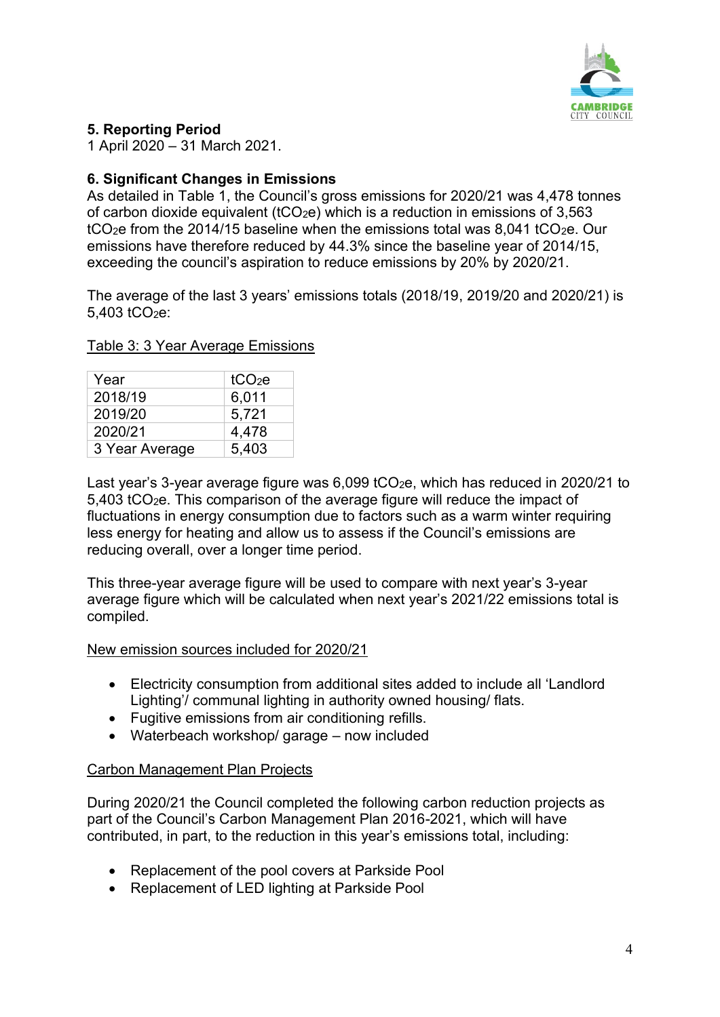

## <span id="page-3-0"></span>**5. Reporting Period**

1 April 2020 – 31 March 2021.

# <span id="page-3-1"></span>**6. Significant Changes in Emissions**

As detailed in Table 1, the Council's gross emissions for 2020/21 was 4,478 tonnes of carbon dioxide equivalent ( $tCO<sub>2</sub>e$ ) which is a reduction in emissions of 3.563 tCO<sub>2</sub>e from the 2014/15 baseline when the emissions total was 8,041 tCO<sub>2</sub>e. Our emissions have therefore reduced by 44.3% since the baseline year of 2014/15, exceeding the council's aspiration to reduce emissions by 20% by 2020/21.

The average of the last 3 years' emissions totals (2018/19, 2019/20 and 2020/21) is  $5.403$  tCO<sub>2</sub>e:

| Year           | tCO <sub>2</sub> e |
|----------------|--------------------|
| 2018/19        | 6,011              |
| 2019/20        | 5,721              |
| 2020/21        | 4,478              |
| 3 Year Average | 5,403              |

<span id="page-3-2"></span>Table 3: 3 Year Average Emissions

Last year's 3-year average figure was 6,099 tCO<sub>2</sub>e, which has reduced in 2020/21 to 5,403 tCO2e. This comparison of the average figure will reduce the impact of fluctuations in energy consumption due to factors such as a warm winter requiring less energy for heating and allow us to assess if the Council's emissions are reducing overall, over a longer time period.

This three-year average figure will be used to compare with next year's 3-year average figure which will be calculated when next year's 2021/22 emissions total is compiled.

#### <span id="page-3-3"></span>New emission sources included for 2020/21

- Electricity consumption from additional sites added to include all 'Landlord Lighting'/ communal lighting in authority owned housing/ flats.
- Fugitive emissions from air conditioning refills.
- Waterbeach workshop/ garage now included

## <span id="page-3-4"></span>Carbon Management Plan Projects

During 2020/21 the Council completed the following carbon reduction projects as part of the Council's Carbon Management Plan 2016-2021, which will have contributed, in part, to the reduction in this year's emissions total, including:

- Replacement of the pool covers at Parkside Pool
- Replacement of LED lighting at Parkside Pool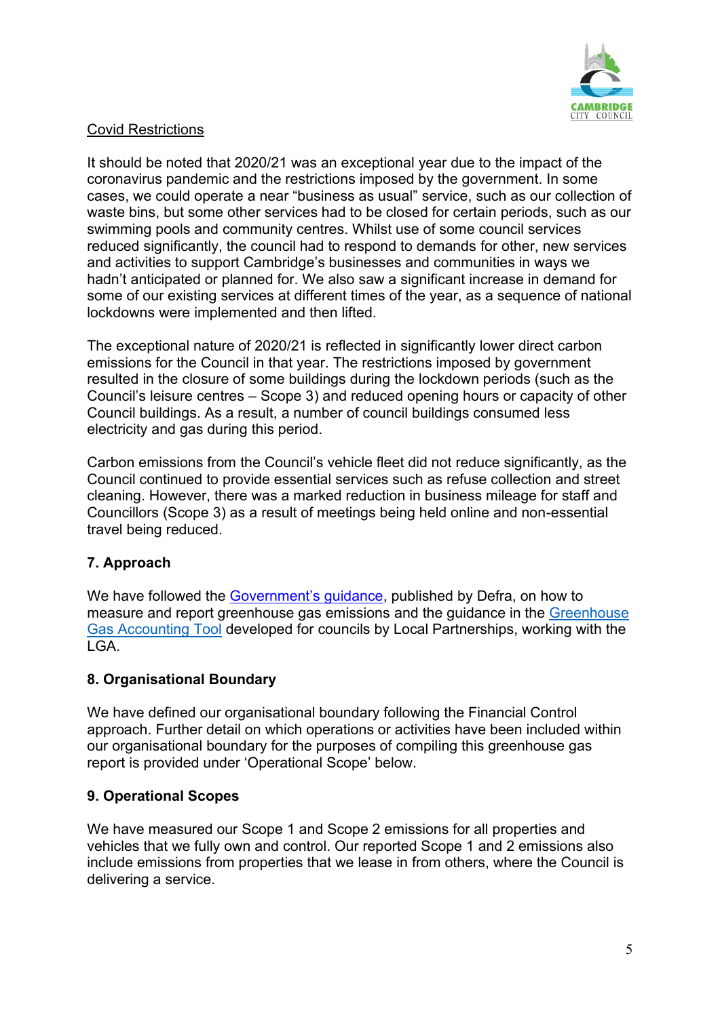

#### Covid Restrictions

It should be noted that 2020/21 was an exceptional year due to the impact of the coronavirus pandemic and the restrictions imposed by the government. In some cases, we could operate a near "business as usual" service, such as our collection of waste bins, but some other services had to be closed for certain periods, such as our swimming pools and community centres. Whilst use of some council services reduced significantly, the council had to respond to demands for other, new services and activities to support Cambridge's businesses and communities in ways we hadn't anticipated or planned for. We also saw a significant increase in demand for some of our existing services at different times of the year, as a sequence of national lockdowns were implemented and then lifted.

The exceptional nature of 2020/21 is reflected in significantly lower direct carbon emissions for the Council in that year. The restrictions imposed by government resulted in the closure of some buildings during the lockdown periods (such as the Council's leisure centres – Scope 3) and reduced opening hours or capacity of other Council buildings. As a result, a number of council buildings consumed less electricity and gas during this period.

Carbon emissions from the Council's vehicle fleet did not reduce significantly, as the Council continued to provide essential services such as refuse collection and street cleaning. However, there was a marked reduction in business mileage for staff and Councillors (Scope 3) as a result of meetings being held online and non-essential travel being reduced.

# <span id="page-4-0"></span>**7. Approach**

We have followed the [Government's](https://www.gov.uk/measuring-and-reporting-environmental-impacts-guidance-for-businesses) guidance, published by Defra, on how to measure and report greenhouse gas emissions and the guidance in the Greenhouse [Gas Accounting Tool](https://localpartnerships.org.uk/greenhouse-gas-accounting-tool/) developed for councils by Local Partnerships, working with the LGA.

## <span id="page-4-1"></span>**8. Organisational Boundary**

We have defined our organisational boundary following the Financial Control approach. Further detail on which operations or activities have been included within our organisational boundary for the purposes of compiling this greenhouse gas report is provided under 'Operational Scope' below.

## <span id="page-4-2"></span>**9. Operational Scopes**

We have measured our Scope 1 and Scope 2 emissions for all properties and vehicles that we fully own and control. Our reported Scope 1 and 2 emissions also include emissions from properties that we lease in from others, where the Council is delivering a service.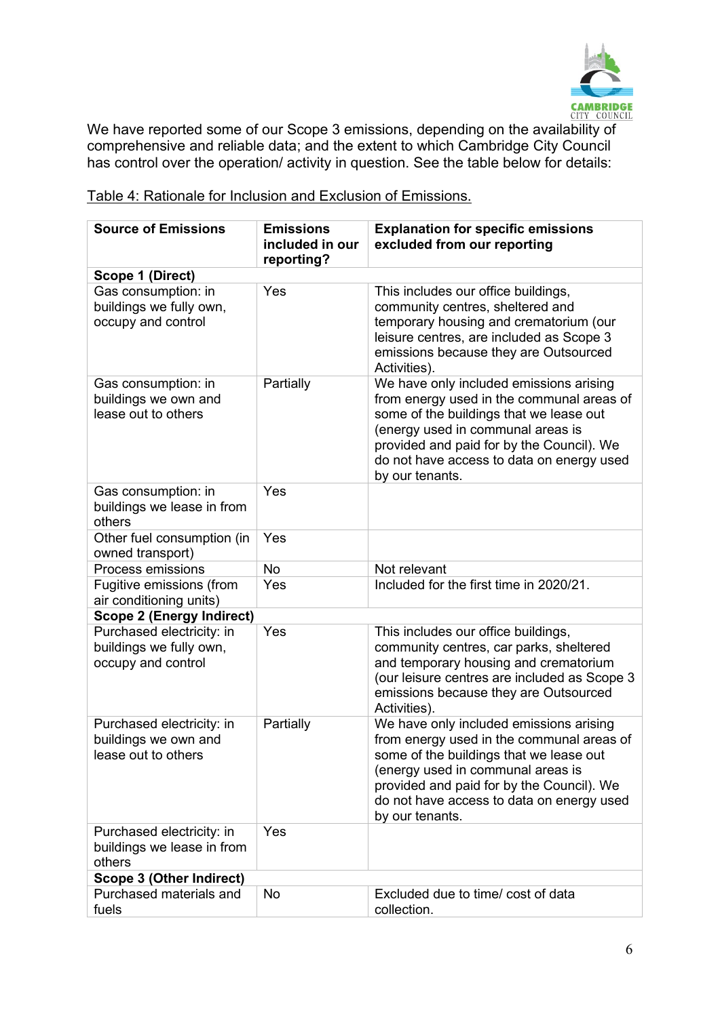

We have reported some of our Scope 3 emissions, depending on the availability of comprehensive and reliable data; and the extent to which Cambridge City Council has control over the operation/ activity in question. See the table below for details:

| <b>Source of Emissions</b>                                                 | <b>Emissions</b><br>included in our<br>reporting? | <b>Explanation for specific emissions</b><br>excluded from our reporting                                                                                                                                                                                                          |
|----------------------------------------------------------------------------|---------------------------------------------------|-----------------------------------------------------------------------------------------------------------------------------------------------------------------------------------------------------------------------------------------------------------------------------------|
| Scope 1 (Direct)                                                           |                                                   |                                                                                                                                                                                                                                                                                   |
| Gas consumption: in<br>buildings we fully own,<br>occupy and control       | Yes                                               | This includes our office buildings,<br>community centres, sheltered and<br>temporary housing and crematorium (our<br>leisure centres, are included as Scope 3<br>emissions because they are Outsourced<br>Activities).                                                            |
| Gas consumption: in<br>buildings we own and<br>lease out to others         | Partially                                         | We have only included emissions arising<br>from energy used in the communal areas of<br>some of the buildings that we lease out<br>(energy used in communal areas is<br>provided and paid for by the Council). We<br>do not have access to data on energy used<br>by our tenants. |
| Gas consumption: in<br>buildings we lease in from<br>others                | Yes                                               |                                                                                                                                                                                                                                                                                   |
| Other fuel consumption (in<br>owned transport)                             | Yes                                               |                                                                                                                                                                                                                                                                                   |
| Process emissions                                                          | <b>No</b>                                         | Not relevant                                                                                                                                                                                                                                                                      |
| Fugitive emissions (from<br>air conditioning units)                        | Yes                                               | Included for the first time in 2020/21.                                                                                                                                                                                                                                           |
| <b>Scope 2 (Energy Indirect)</b>                                           |                                                   |                                                                                                                                                                                                                                                                                   |
| Purchased electricity: in<br>buildings we fully own,<br>occupy and control | Yes                                               | This includes our office buildings,<br>community centres, car parks, sheltered<br>and temporary housing and crematorium<br>(our leisure centres are included as Scope 3<br>emissions because they are Outsourced<br>Activities).                                                  |
| Purchased electricity: in<br>buildings we own and<br>lease out to others   | Partially                                         | We have only included emissions arising<br>from energy used in the communal areas of<br>some of the buildings that we lease out<br>(energy used in communal areas is<br>provided and paid for by the Council). We<br>do not have access to data on energy used<br>by our tenants. |
| Purchased electricity: in<br>buildings we lease in from<br>others          | Yes                                               |                                                                                                                                                                                                                                                                                   |
| Scope 3 (Other Indirect)                                                   |                                                   |                                                                                                                                                                                                                                                                                   |
| Purchased materials and<br>fuels                                           | <b>No</b>                                         | Excluded due to time/ cost of data<br>collection.                                                                                                                                                                                                                                 |

<span id="page-5-0"></span>Table 4: Rationale for Inclusion and Exclusion of Emissions.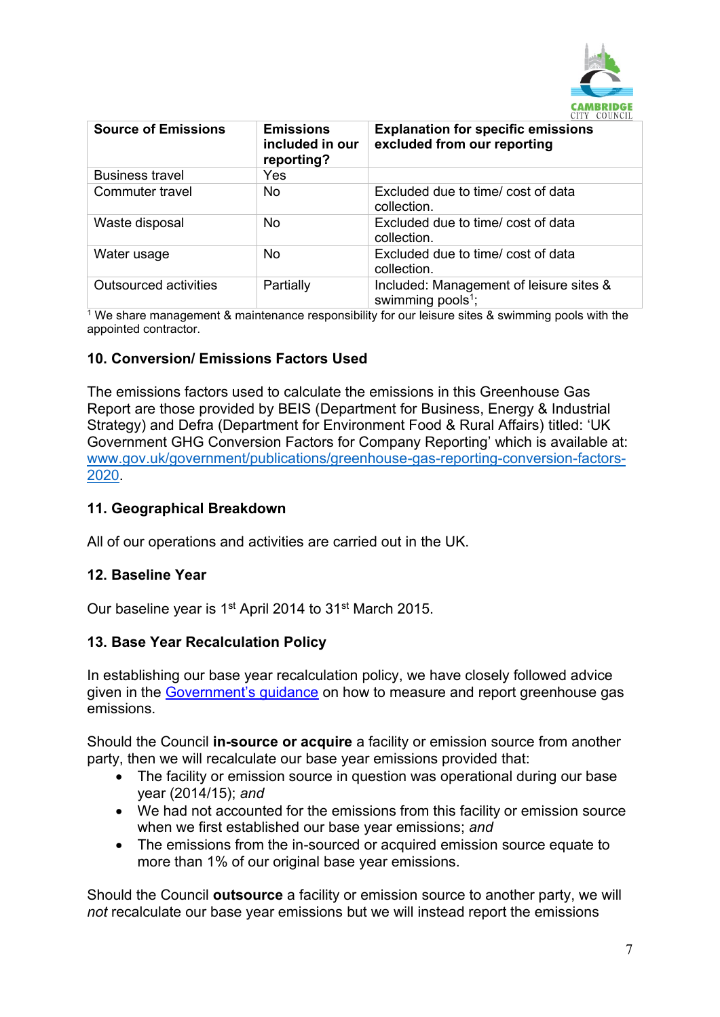

| <b>Source of Emissions</b> | <b>Emissions</b><br>included in our<br>reporting? | <b>Explanation for specific emissions</b><br>excluded from our reporting |
|----------------------------|---------------------------------------------------|--------------------------------------------------------------------------|
| <b>Business travel</b>     | Yes                                               |                                                                          |
| Commuter travel            | <b>No</b>                                         | Excluded due to time/ cost of data<br>collection.                        |
| Waste disposal             | <b>No</b>                                         | Excluded due to time/ cost of data<br>collection.                        |
| Water usage                | <b>No</b>                                         | Excluded due to time/ cost of data<br>collection.                        |
| Outsourced activities      | Partially                                         | Included: Management of leisure sites &<br>swimming pools <sup>1</sup> ; |

<sup>1</sup> We share management & maintenance responsibility for our leisure sites & swimming pools with the appointed contractor.

## <span id="page-6-0"></span>**10. Conversion/ Emissions Factors Used**

The emissions factors used to calculate the emissions in this Greenhouse Gas Report are those provided by BEIS (Department for Business, Energy & Industrial Strategy) and Defra (Department for Environment Food & Rural Affairs) titled: 'UK Government GHG Conversion Factors for Company Reporting' which is available at: [www.gov.uk/government/publications/greenhouse-gas-reporting-conversion-factors-](http://www.gov.uk/government/publications/greenhouse-gas-reporting-conversion-factors-2020)[2020.](http://www.gov.uk/government/publications/greenhouse-gas-reporting-conversion-factors-2020)

#### <span id="page-6-1"></span>**11. Geographical Breakdown**

All of our operations and activities are carried out in the UK.

#### <span id="page-6-2"></span>**12. Baseline Year**

Our baseline year is 1<sup>st</sup> April 2014 to 31<sup>st</sup> March 2015.

#### <span id="page-6-3"></span>**13. Base Year Recalculation Policy**

In establishing our base year recalculation policy, we have closely followed advice given in the [Government's guidance](https://www.gov.uk/government/uploads/system/uploads/attachment_data/file/206392/pb13944-env-reporting-guidance.pdf) on how to measure and report greenhouse gas emissions.

Should the Council **in-source or acquire** a facility or emission source from another party, then we will recalculate our base year emissions provided that:

- The facility or emission source in question was operational during our base year (2014/15); *and*
- We had not accounted for the emissions from this facility or emission source when we first established our base year emissions; *and*
- The emissions from the in-sourced or acquired emission source equate to more than 1% of our original base year emissions.

Should the Council **outsource** a facility or emission source to another party, we will *not* recalculate our base year emissions but we will instead report the emissions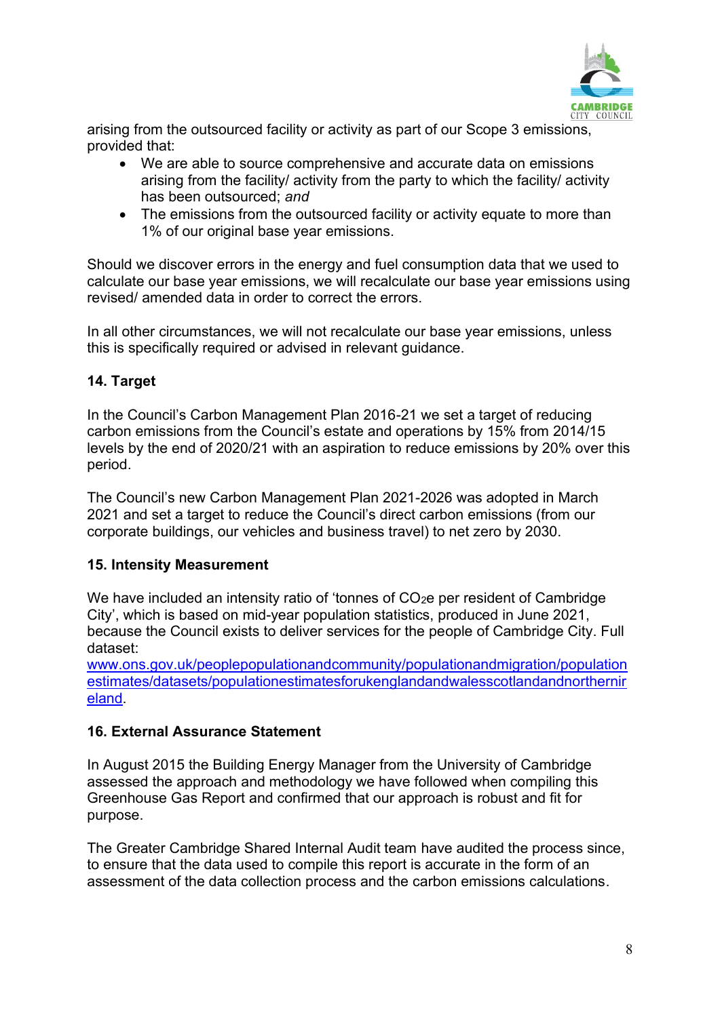

arising from the outsourced facility or activity as part of our Scope 3 emissions, provided that:

- We are able to source comprehensive and accurate data on emissions arising from the facility/ activity from the party to which the facility/ activity has been outsourced; *and*
- The emissions from the outsourced facility or activity equate to more than 1% of our original base year emissions.

Should we discover errors in the energy and fuel consumption data that we used to calculate our base year emissions, we will recalculate our base year emissions using revised/ amended data in order to correct the errors.

In all other circumstances, we will not recalculate our base year emissions, unless this is specifically required or advised in relevant guidance.

## <span id="page-7-0"></span>**14. Target**

In the Council's Carbon Management Plan 2016-21 we set a target of reducing carbon emissions from the Council's estate and operations by 15% from 2014/15 levels by the end of 2020/21 with an aspiration to reduce emissions by 20% over this period.

The Council's new Carbon Management Plan 2021-2026 was adopted in March 2021 and set a target to reduce the Council's direct carbon emissions (from our corporate buildings, our vehicles and business travel) to net zero by 2030.

## <span id="page-7-1"></span>**15. Intensity Measurement**

We have included an intensity ratio of 'tonnes of CO<sub>2</sub>e per resident of Cambridge City', which is based on mid-year population statistics, produced in June 2021, because the Council exists to deliver services for the people of Cambridge City. Full dataset:

[www.ons.gov.uk/peoplepopulationandcommunity/populationandmigration/population](http://www.ons.gov.uk/peoplepopulationandcommunity/populationandmigration/populationestimates/datasets/populationestimatesforukenglandandwalesscotlandandnorthernireland) [estimates/datasets/populationestimatesforukenglandandwalesscotlandandnorthernir](http://www.ons.gov.uk/peoplepopulationandcommunity/populationandmigration/populationestimates/datasets/populationestimatesforukenglandandwalesscotlandandnorthernireland) [eland.](http://www.ons.gov.uk/peoplepopulationandcommunity/populationandmigration/populationestimates/datasets/populationestimatesforukenglandandwalesscotlandandnorthernireland)

## <span id="page-7-2"></span>**16. External Assurance Statement**

In August 2015 the Building Energy Manager from the University of Cambridge assessed the approach and methodology we have followed when compiling this Greenhouse Gas Report and confirmed that our approach is robust and fit for purpose.

The Greater Cambridge Shared Internal Audit team have audited the process since, to ensure that the data used to compile this report is accurate in the form of an assessment of the data collection process and the carbon emissions calculations.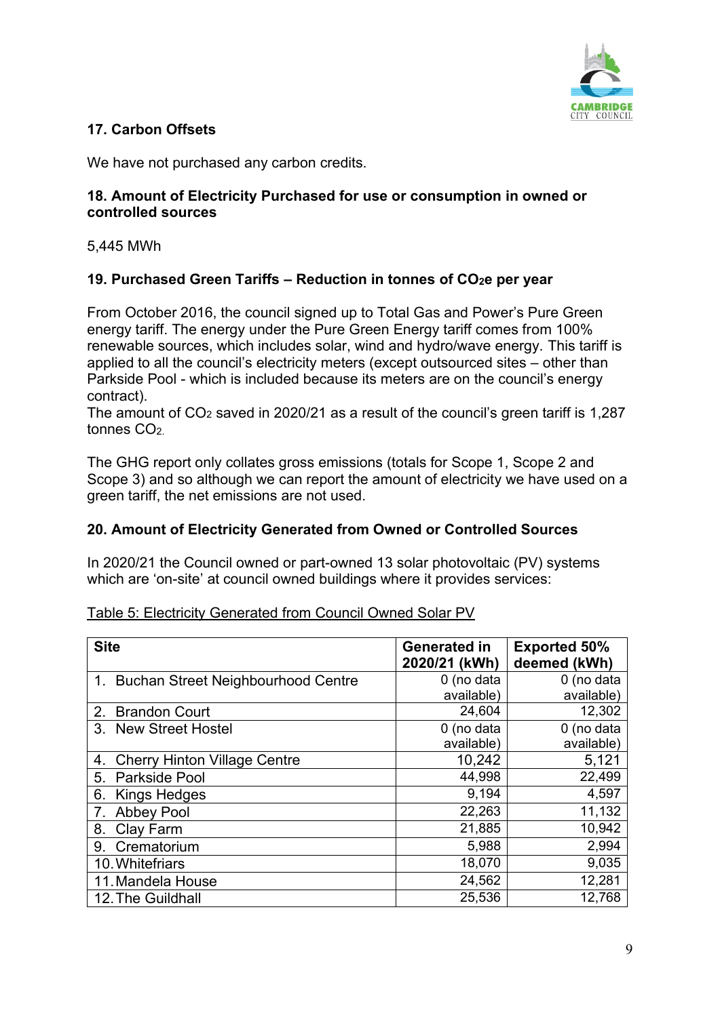

# <span id="page-8-0"></span>**17. Carbon Offsets**

We have not purchased any carbon credits.

#### <span id="page-8-1"></span>**18. Amount of Electricity Purchased for use or consumption in owned or controlled sources**

5,445 MWh

## <span id="page-8-2"></span>**19. Purchased Green Tariffs – Reduction in tonnes of CO2e per year**

From October 2016, the council signed up to Total Gas and Power's Pure Green energy tariff. The energy under the Pure Green Energy tariff comes from 100% renewable sources, which includes solar, wind and hydro/wave energy. This tariff is applied to all the council's electricity meters (except outsourced sites – other than Parkside Pool - which is included because its meters are on the council's energy contract).

The amount of  $CO<sub>2</sub>$  saved in 2020/21 as a result of the council's green tariff is 1,287 tonnes CO<sub>2</sub>

The GHG report only collates gross emissions (totals for Scope 1, Scope 2 and Scope 3) and so although we can report the amount of electricity we have used on a green tariff, the net emissions are not used.

## <span id="page-8-3"></span>**20. Amount of Electricity Generated from Owned or Controlled Sources**

In 2020/21 the Council owned or part-owned 13 solar photovoltaic (PV) systems which are 'on-site' at council owned buildings where it provides services:

<span id="page-8-4"></span>

| <b>Site</b>                               | <b>Generated in</b><br>2020/21 (kWh) | <b>Exported 50%</b><br>deemed (kWh) |
|-------------------------------------------|--------------------------------------|-------------------------------------|
| 1. Buchan Street Neighbourhood Centre     | 0 (no data                           | 0 (no data                          |
|                                           | available)                           | available)                          |
| <b>Brandon Court</b><br>2.                | 24,604                               | 12,302                              |
| 3. New Street Hostel                      | 0 (no data                           | 0 (no data                          |
|                                           | available)                           | available)                          |
| <b>Cherry Hinton Village Centre</b><br>4. | 10,242                               | 5,121                               |
| Parkside Pool<br>5.                       | 44,998                               | 22,499                              |
| Kings Hedges<br>6.                        | 9,194                                | 4,597                               |
| 7.<br><b>Abbey Pool</b>                   | 22,263                               | 11,132                              |
| Clay Farm<br>8.                           | 21,885                               | 10,942                              |
| Crematorium<br>9.                         | 5,988                                | 2,994                               |
| 10. Whitefriars                           | 18,070                               | 9,035                               |
| 11. Mandela House                         | 24,562                               | 12,281                              |
| 12. The Guildhall                         | 25,536                               | 12,768                              |